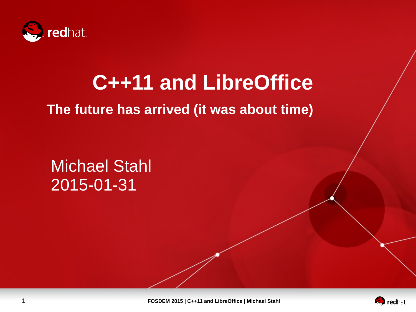

# **C++11 and LibreOffice**

#### **The future has arrived (it was about time)**

Michael Stahl 2015-01-31

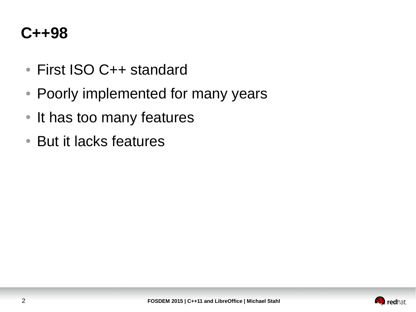#### **C++98**

- First ISO C++ standard
- Poorly implemented for many years
- It has too many features
- But it lacks features

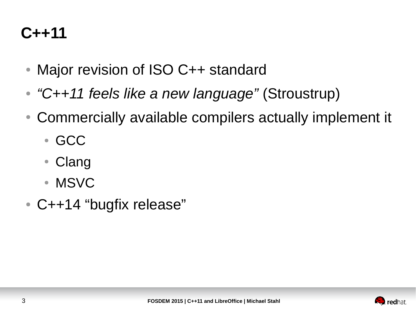#### **C++11**

- Major revision of ISO C++ standard
- *"C++11 feels like a new language"* (Stroustrup)
- Commercially available compilers actually implement it
	- GCC
	- Clang
	- MSVC
- C++14 "bugfix release"

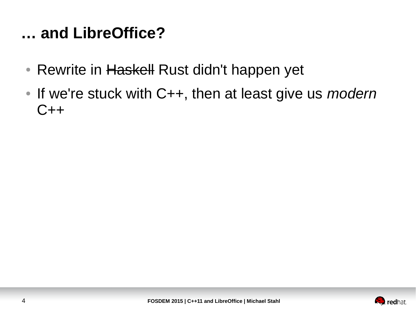#### **… and LibreOffice?**

- Rewrite in Haskell Rust didn't happen yet
- If we're stuck with C++, then at least give us *modern*  $C++$

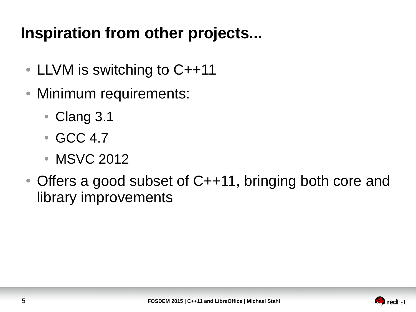# **Inspiration from other projects...**

- LLVM is switching to  $C++11$
- Minimum requirements:
	- Clang 3.1
	- GCC 4.7
	- MSVC 2012
- Offers a good subset of C++11, bringing both core and library improvements

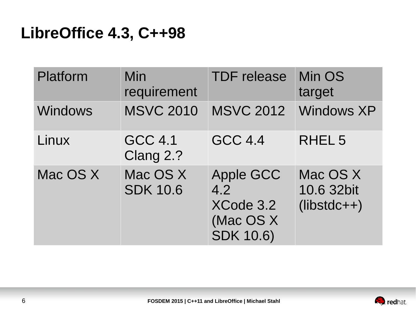#### **LibreOffice 4.3, C++98**

| Platform       | Min<br>requirement          | <b>TDF</b> release                                                    | Min OS<br>target                        |
|----------------|-----------------------------|-----------------------------------------------------------------------|-----------------------------------------|
| <b>Windows</b> | <b>MSVC 2010</b>            | <b>MSVC 2012</b>                                                      | <b>Windows XP</b>                       |
| Linux          | <b>GCC 4.1</b><br>Clang 2.? | <b>GCC 4.4</b>                                                        | RHEL <sub>5</sub>                       |
| Mac OS X       | Mac OS X<br><b>SDK 10.6</b> | <b>Apple GCC</b><br>4.2<br>XCode 3.2<br>(Mac OS X<br><b>SDK 10.6)</b> | Mac OS X<br>10.6 32bit<br>$(libstdc++)$ |

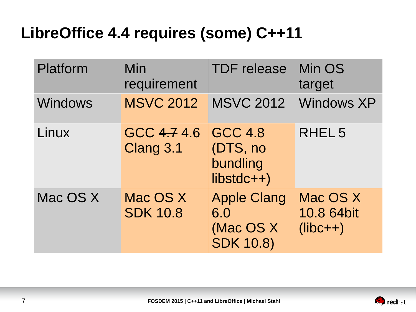## **LibreOffice 4.4 requires (some) C++11**

| Platform       | Min<br>requirement          | <b>TDF</b> release                                         | Min OS<br>target                     |
|----------------|-----------------------------|------------------------------------------------------------|--------------------------------------|
| <b>Windows</b> | <b>MSVC 2012</b>            | <b>MSVC 2012</b>                                           | <b>Windows XP</b>                    |
| Linux          | GCC 4.74.6<br>Clang 3.1     | <b>GCC 4.8</b><br>(DTS, no<br>bundling<br>$libstdc++)$     | RHEL <sub>5</sub>                    |
| Mac OS X       | Mac OS X<br><b>SDK 10.8</b> | <b>Apple Clang</b><br>6.0<br>(Mac OS X<br><b>SDK 10.8)</b> | Mac OS X<br>10.8 64bit<br>$(libc++)$ |

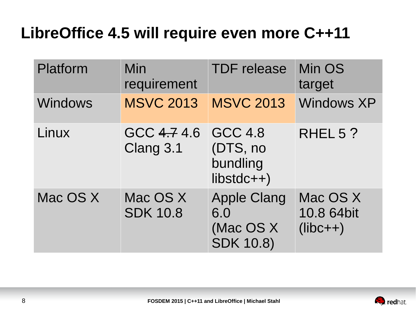#### **LibreOffice 4.5 will require even more C++11**

| Platform       | Min<br>requirement          | <b>TDF</b> release                                         | Min OS<br>target                     |
|----------------|-----------------------------|------------------------------------------------------------|--------------------------------------|
| <b>Windows</b> | <b>MSVC 2013</b>            | <b>MSVC 2013</b>                                           | <b>Windows XP</b>                    |
| Linux          | GCC 4.74.6<br>Clang 3.1     | <b>GCC 4.8</b><br>(DTS, no<br>bundling<br>$libstdc++)$     | RHEL 5?                              |
| Mac OS X       | Mac OS X<br><b>SDK 10.8</b> | <b>Apple Clang</b><br>6.0<br>(Mac OS X<br><b>SDK 10.8)</b> | Mac OS X<br>10.8 64bit<br>$(libc++)$ |

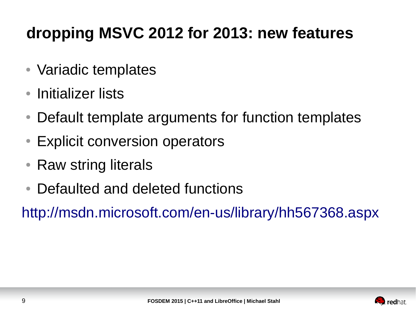# **dropping MSVC 2012 for 2013: new features**

- Variadic templates
- Initializer lists
- Default template arguments for function templates
- Explicit conversion operators
- Raw string literals
- Defaulted and deleted functions

<http://msdn.microsoft.com/en-us/library/hh567368.aspx>

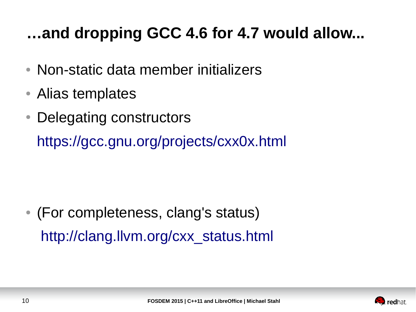# **…and dropping GCC 4.6 for 4.7 would allow...**

- Non-static data member initializers
- Alias templates
- Delegating constructors

<https://gcc.gnu.org/projects/cxx0x.html>

• (For completeness, clang's status) [http://clang.llvm.org/cxx\\_status.html](http://clang.llvm.org/cxx_status.html)